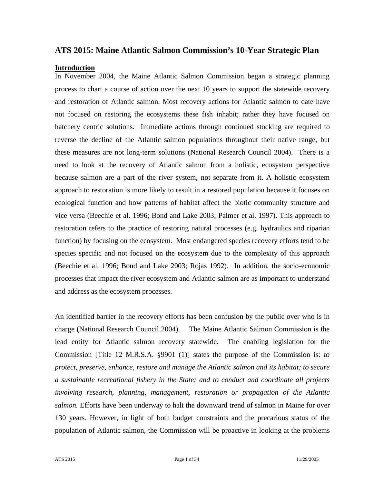# **ATS 2015: Maine Atlantic Salmon Commission's 10-Year Strategic Plan**

#### **Introduction**

In November 2004, the Maine Atlantic Salmon Commission began a strategic planning process to chart a course of action over the next 10 years to support the statewide recovery and restoration of Atlantic salmon. Most recovery actions for Atlantic salmon to date have not focused on restoring the ecosystems these fish inhabit; rather they have focused on hatchery centric solutions. Immediate actions through continued stocking are required to reverse the decline of the Atlantic salmon populations throughout their native range, but these measures are not long-term solutions (National Research Council 2004). There is a need to look at the recovery of Atlantic salmon from a holistic, ecosystem perspective because salmon are a part of the river system, not separate from it. A holistic ecosystem approach to restoration is more likely to result in a restored population because it focuses on ecological function and how patterns of habitat affect the biotic community structure and vice versa (Beechie et al. 1996; Bond and Lake 2003; Palmer et al. 1997). This approach to restoration refers to the practice of restoring natural processes (e.g. hydraulics and riparian function) by focusing on the ecosystem. Most endangered species recovery efforts tend to be species specific and not focused on the ecosystem due to the complexity of this approach (Beechie et al. 1996; Bond and Lake 2003; Rojas 1992). In addition, the socio-economic processes that impact the river ecosystem and Atlantic salmon are as important to understand and address as the ecosystem processes.

An identified barrier in the recovery efforts has been confusion by the public over who is in charge (National Research Council 2004). The Maine Atlantic Salmon Commission is the lead entity for Atlantic salmon recovery statewide. The enabling legislation for the Commission [Title 12 M.R.S.A. §9901 (1)] states the purpose of the Commission is: *to protect, preserve, enhance, restore and manage the Atlantic salmon and its habitat; to secure a sustainable recreational fishery in the State; and to conduct and coordinate all projects involving research, planning, management, restoration or propagation of the Atlantic salmon.* Efforts have been underway to halt the downward trend of salmon in Maine for over 130 years. However, in light of both budget constraints and the precarious status of the population of Atlantic salmon, the Commission will be proactive in looking at the problems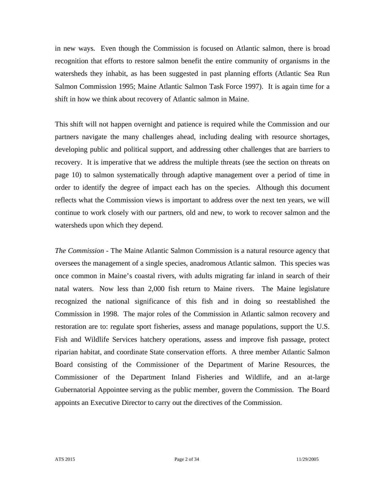in new ways. Even though the Commission is focused on Atlantic salmon, there is broad recognition that efforts to restore salmon benefit the entire community of organisms in the watersheds they inhabit, as has been suggested in past planning efforts (Atlantic Sea Run Salmon Commission 1995; Maine Atlantic Salmon Task Force 1997). It is again time for a shift in how we think about recovery of Atlantic salmon in Maine.

This shift will not happen overnight and patience is required while the Commission and our partners navigate the many challenges ahead, including dealing with resource shortages, developing public and political support, and addressing other challenges that are barriers to recovery. It is imperative that we address the multiple threats (see the section on threats on page 10) to salmon systematically through adaptive management over a period of time in order to identify the degree of impact each has on the species. Although this document reflects what the Commission views is important to address over the next ten years, we will continue to work closely with our partners, old and new, to work to recover salmon and the watersheds upon which they depend.

*The Commission -* The Maine Atlantic Salmon Commission is a natural resource agency that oversees the management of a single species, anadromous Atlantic salmon. This species was once common in Maine's coastal rivers, with adults migrating far inland in search of their natal waters. Now less than 2,000 fish return to Maine rivers. The Maine legislature recognized the national significance of this fish and in doing so reestablished the Commission in 1998. The major roles of the Commission in Atlantic salmon recovery and restoration are to: regulate sport fisheries, assess and manage populations, support the U.S. Fish and Wildlife Services hatchery operations, assess and improve fish passage, protect riparian habitat, and coordinate State conservation efforts. A three member Atlantic Salmon Board consisting of the Commissioner of the Department of Marine Resources, the Commissioner of the Department Inland Fisheries and Wildlife, and an at-large Gubernatorial Appointee serving as the public member, govern the Commission. The Board appoints an Executive Director to carry out the directives of the Commission.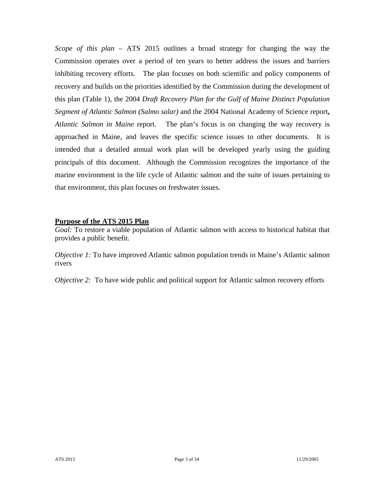*Scope of this plan* – ATS 2015 outlines a broad strategy for changing the way the Commission operates over a period of ten years to better address the issues and barriers inhibiting recovery efforts. The plan focuses on both scientific and policy components of recovery and builds on the priorities identified by the Commission during the development of this plan (Table 1), the 2004 *Draft Recovery Plan for the Gulf of Maine Distinct Population Segment of Atlantic Salmon (Salmo salar)* and the 2004 National Academy of Science report**,**  *Atlantic Salmon in Maine* report. The plan's focus is on changing the way recovery is approached in Maine, and leaves the specific science issues to other documents. It is intended that a detailed annual work plan will be developed yearly using the guiding principals of this document. Although the Commission recognizes the importance of the marine environment in the life cycle of Atlantic salmon and the suite of issues pertaining to that environment, this plan focuses on freshwater issues.

#### **Purpose of the ATS 2015 Plan**

*Goal:* To restore a viable population of Atlantic salmon with access to historical habitat that provides a public benefit.

*Objective 1:* To have improved Atlantic salmon population trends in Maine's Atlantic salmon rivers

*Objective 2:* To have wide public and political support for Atlantic salmon recovery efforts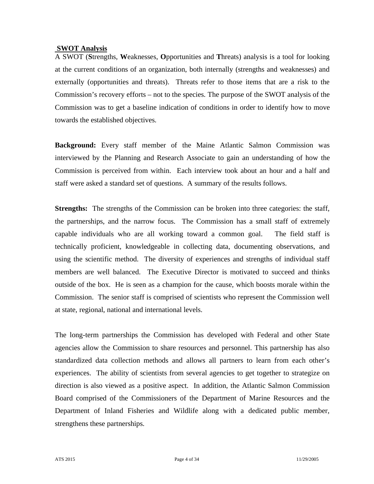## **SWOT Analysis**

A SWOT (**S**trengths, **W**eaknesses, **O**pportunities and **T**hreats) analysis is a tool for looking at the current conditions of an organization, both internally (strengths and weaknesses) and externally (opportunities and threats). Threats refer to those items that are a risk to the Commission's recovery efforts – not to the species. The purpose of the SWOT analysis of the Commission was to get a baseline indication of conditions in order to identify how to move towards the established objectives.

**Background:** Every staff member of the Maine Atlantic Salmon Commission was interviewed by the Planning and Research Associate to gain an understanding of how the Commission is perceived from within. Each interview took about an hour and a half and staff were asked a standard set of questions. A summary of the results follows.

**Strengths:** The strengths of the Commission can be broken into three categories: the staff, the partnerships, and the narrow focus. The Commission has a small staff of extremely capable individuals who are all working toward a common goal. The field staff is technically proficient, knowledgeable in collecting data, documenting observations, and using the scientific method. The diversity of experiences and strengths of individual staff members are well balanced. The Executive Director is motivated to succeed and thinks outside of the box. He is seen as a champion for the cause, which boosts morale within the Commission. The senior staff is comprised of scientists who represent the Commission well at state, regional, national and international levels.

The long-term partnerships the Commission has developed with Federal and other State agencies allow the Commission to share resources and personnel. This partnership has also standardized data collection methods and allows all partners to learn from each other's experiences. The ability of scientists from several agencies to get together to strategize on direction is also viewed as a positive aspect. In addition, the Atlantic Salmon Commission Board comprised of the Commissioners of the Department of Marine Resources and the Department of Inland Fisheries and Wildlife along with a dedicated public member, strengthens these partnerships.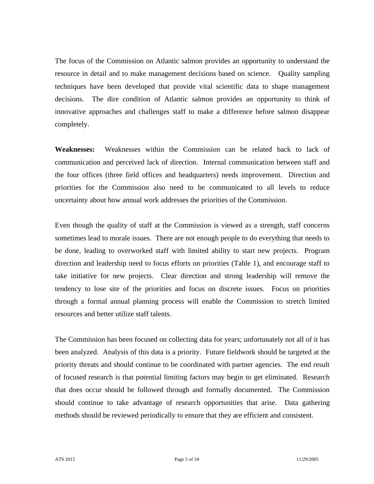The focus of the Commission on Atlantic salmon provides an opportunity to understand the resource in detail and to make management decisions based on science. Quality sampling techniques have been developed that provide vital scientific data to shape management decisions. The dire condition of Atlantic salmon provides an opportunity to think of innovative approaches and challenges staff to make a difference before salmon disappear completely.

**Weaknesses:** Weaknesses within the Commission can be related back to lack of communication and perceived lack of direction. Internal communication between staff and the four offices (three field offices and headquarters) needs improvement. Direction and priorities for the Commission also need to be communicated to all levels to reduce uncertainty about how annual work addresses the priorities of the Commission.

Even though the quality of staff at the Commission is viewed as a strength, staff concerns sometimes lead to morale issues. There are not enough people to do everything that needs to be done, leading to overworked staff with limited ability to start new projects. Program direction and leadership need to focus efforts on priorities (Table 1), and encourage staff to take initiative for new projects. Clear direction and strong leadership will remove the tendency to lose site of the priorities and focus on discrete issues. Focus on priorities through a formal annual planning process will enable the Commission to stretch limited resources and better utilize staff talents.

The Commission has been focused on collecting data for years; unfortunately not all of it has been analyzed. Analysis of this data is a priority. Future fieldwork should be targeted at the priority threats and should continue to be coordinated with partner agencies. The end result of focused research is that potential limiting factors may begin to get eliminated. Research that does occur should be followed through and formally documented. The Commission should continue to take advantage of research opportunities that arise. Data gathering methods should be reviewed periodically to ensure that they are efficient and consistent.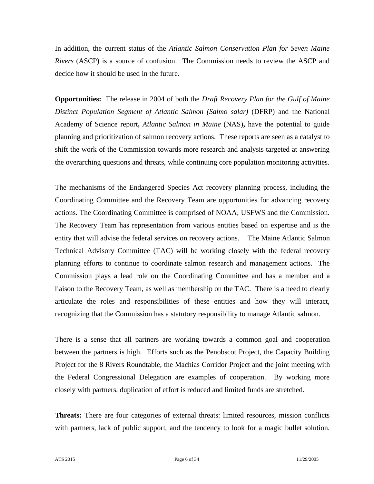In addition, the current status of the *Atlantic Salmon Conservation Plan for Seven Maine Rivers* (ASCP) is a source of confusion. The Commission needs to review the ASCP and decide how it should be used in the future.

**Opportunities:** The release in 2004 of both the *Draft Recovery Plan for the Gulf of Maine Distinct Population Segment of Atlantic Salmon (Salmo salar)* (DFRP) and the National Academy of Science report**,** *Atlantic Salmon in Maine* (NAS)**,** have the potential to guide planning and prioritization of salmon recovery actions. These reports are seen as a catalyst to shift the work of the Commission towards more research and analysis targeted at answering the overarching questions and threats, while continuing core population monitoring activities.

The mechanisms of the Endangered Species Act recovery planning process, including the Coordinating Committee and the Recovery Team are opportunities for advancing recovery actions. The Coordinating Committee is comprised of NOAA, USFWS and the Commission. The Recovery Team has representation from various entities based on expertise and is the entity that will advise the federal services on recovery actions. The Maine Atlantic Salmon Technical Advisory Committee (TAC) will be working closely with the federal recovery planning efforts to continue to coordinate salmon research and management actions. The Commission plays a lead role on the Coordinating Committee and has a member and a liaison to the Recovery Team, as well as membership on the TAC. There is a need to clearly articulate the roles and responsibilities of these entities and how they will interact, recognizing that the Commission has a statutory responsibility to manage Atlantic salmon.

There is a sense that all partners are working towards a common goal and cooperation between the partners is high. Efforts such as the Penobscot Project, the Capacity Building Project for the 8 Rivers Roundtable, the Machias Corridor Project and the joint meeting with the Federal Congressional Delegation are examples of cooperation. By working more closely with partners, duplication of effort is reduced and limited funds are stretched.

**Threats:** There are four categories of external threats: limited resources, mission conflicts with partners, lack of public support, and the tendency to look for a magic bullet solution.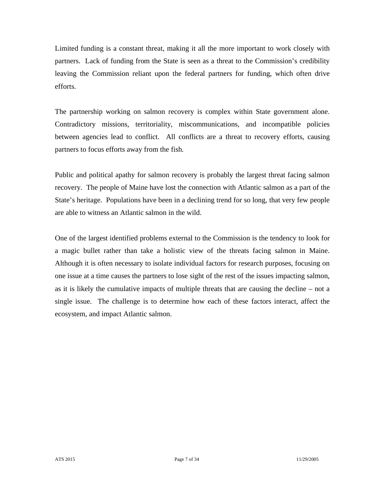Limited funding is a constant threat, making it all the more important to work closely with partners. Lack of funding from the State is seen as a threat to the Commission's credibility leaving the Commission reliant upon the federal partners for funding, which often drive efforts.

The partnership working on salmon recovery is complex within State government alone. Contradictory missions, territoriality, miscommunications, and incompatible policies between agencies lead to conflict. All conflicts are a threat to recovery efforts, causing partners to focus efforts away from the fish.

Public and political apathy for salmon recovery is probably the largest threat facing salmon recovery. The people of Maine have lost the connection with Atlantic salmon as a part of the State's heritage. Populations have been in a declining trend for so long, that very few people are able to witness an Atlantic salmon in the wild.

One of the largest identified problems external to the Commission is the tendency to look for a magic bullet rather than take a holistic view of the threats facing salmon in Maine. Although it is often necessary to isolate individual factors for research purposes, focusing on one issue at a time causes the partners to lose sight of the rest of the issues impacting salmon, as it is likely the cumulative impacts of multiple threats that are causing the decline – not a single issue. The challenge is to determine how each of these factors interact, affect the ecosystem, and impact Atlantic salmon.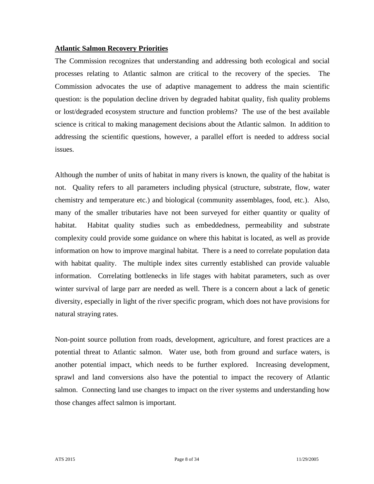#### **Atlantic Salmon Recovery Priorities**

The Commission recognizes that understanding and addressing both ecological and social processes relating to Atlantic salmon are critical to the recovery of the species. The Commission advocates the use of adaptive management to address the main scientific question: is the population decline driven by degraded habitat quality, fish quality problems or lost/degraded ecosystem structure and function problems? The use of the best available science is critical to making management decisions about the Atlantic salmon. In addition to addressing the scientific questions, however, a parallel effort is needed to address social issues.

Although the number of units of habitat in many rivers is known, the quality of the habitat is not. Quality refers to all parameters including physical (structure, substrate, flow, water chemistry and temperature etc.) and biological (community assemblages, food, etc.). Also, many of the smaller tributaries have not been surveyed for either quantity or quality of habitat. Habitat quality studies such as embeddedness, permeability and substrate complexity could provide some guidance on where this habitat is located, as well as provide information on how to improve marginal habitat. There is a need to correlate population data with habitat quality. The multiple index sites currently established can provide valuable information. Correlating bottlenecks in life stages with habitat parameters, such as over winter survival of large parr are needed as well. There is a concern about a lack of genetic diversity, especially in light of the river specific program, which does not have provisions for natural straying rates.

Non-point source pollution from roads, development, agriculture, and forest practices are a potential threat to Atlantic salmon. Water use, both from ground and surface waters, is another potential impact, which needs to be further explored. Increasing development, sprawl and land conversions also have the potential to impact the recovery of Atlantic salmon. Connecting land use changes to impact on the river systems and understanding how those changes affect salmon is important.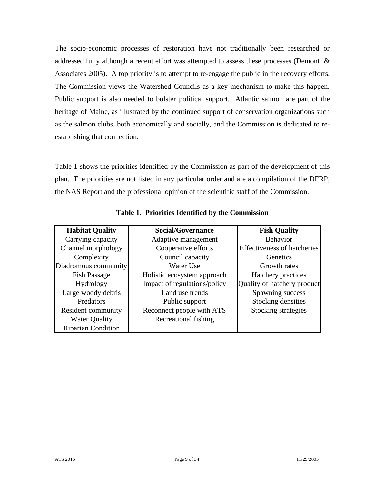The socio-economic processes of restoration have not traditionally been researched or addressed fully although a recent effort was attempted to assess these processes (Demont & Associates 2005). A top priority is to attempt to re-engage the public in the recovery efforts. The Commission views the Watershed Councils as a key mechanism to make this happen. Public support is also needed to bolster political support. Atlantic salmon are part of the heritage of Maine, as illustrated by the continued support of conservation organizations such as the salmon clubs, both economically and socially, and the Commission is dedicated to reestablishing that connection.

Table 1 shows the priorities identified by the Commission as part of the development of this plan. The priorities are not listed in any particular order and are a compilation of the DFRP, the NAS Report and the professional opinion of the scientific staff of the Commission.

| <b>Habitat Quality</b>    | <b>Social/Governance</b>     | <b>Fish Quality</b>                |  |
|---------------------------|------------------------------|------------------------------------|--|
| Carrying capacity         | Adaptive management          | <b>Behavior</b>                    |  |
| Channel morphology        | Cooperative efforts          | <b>Effectiveness of hatcheries</b> |  |
| Complexity                | Council capacity             | Genetics                           |  |
| Diadromous community      | Water Use                    | Growth rates                       |  |
| <b>Fish Passage</b>       | Holistic ecosystem approach  | Hatchery practices                 |  |
| Hydrology                 | Impact of regulations/policy | Quality of hatchery product        |  |
| Large woody debris        | Land use trends              | Spawning success                   |  |
| Predators                 | Public support               | Stocking densities                 |  |
| Resident community        | Reconnect people with ATS    | Stocking strategies                |  |
| <b>Water Quality</b>      | Recreational fishing         |                                    |  |
| <b>Riparian Condition</b> |                              |                                    |  |

**Table 1. Priorities Identified by the Commission**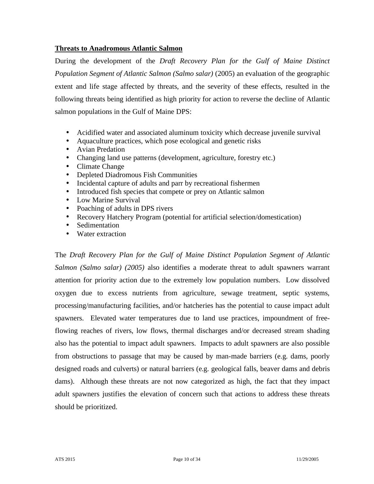### **Threats to Anadromous Atlantic Salmon**

During the development of the *Draft Recovery Plan for the Gulf of Maine Distinct Population Segment of Atlantic Salmon (Salmo salar)* (2005) an evaluation of the geographic extent and life stage affected by threats, and the severity of these effects, resulted in the following threats being identified as high priority for action to reverse the decline of Atlantic salmon populations in the Gulf of Maine DPS:

- Acidified water and associated aluminum toxicity which decrease juvenile survival
- Aquaculture practices, which pose ecological and genetic risks
- Avian Predation
- Changing land use patterns (development, agriculture, forestry etc.)
- Climate Change
- Depleted Diadromous Fish Communities
- Incidental capture of adults and parr by recreational fishermen
- Introduced fish species that compete or prey on Atlantic salmon
- Low Marine Survival
- Poaching of adults in DPS rivers
- Recovery Hatchery Program (potential for artificial selection/domestication)
- Sedimentation
- Water extraction

The *Draft Recovery Plan for the Gulf of Maine Distinct Population Segment of Atlantic Salmon (Salmo salar) (2005)* also identifies a moderate threat to adult spawners warrant attention for priority action due to the extremely low population numbers. Low dissolved oxygen due to excess nutrients from agriculture, sewage treatment, septic systems, processing/manufacturing facilities, and/or hatcheries has the potential to cause impact adult spawners. Elevated water temperatures due to land use practices, impoundment of freeflowing reaches of rivers, low flows, thermal discharges and/or decreased stream shading also has the potential to impact adult spawners. Impacts to adult spawners are also possible from obstructions to passage that may be caused by man-made barriers (e.g. dams, poorly designed roads and culverts) or natural barriers (e.g. geological falls, beaver dams and debris dams). Although these threats are not now categorized as high, the fact that they impact adult spawners justifies the elevation of concern such that actions to address these threats should be prioritized.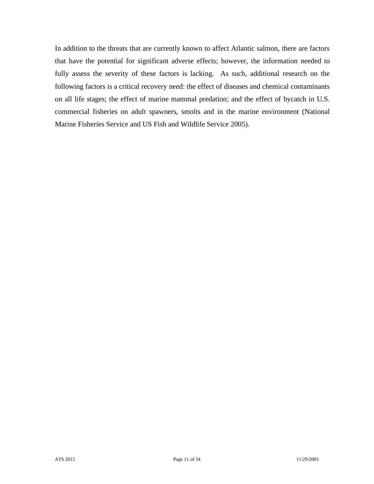In addition to the threats that are currently known to affect Atlantic salmon, there are factors that have the potential for significant adverse effects; however, the information needed to fully assess the severity of these factors is lacking. As such, additional research on the following factors is a critical recovery need: the effect of diseases and chemical contaminants on all life stages; the effect of marine mammal predation; and the effect of bycatch in U.S. commercial fisheries on adult spawners, smolts and in the marine environment (National Marine Fisheries Service and US Fish and Wildlife Service 2005).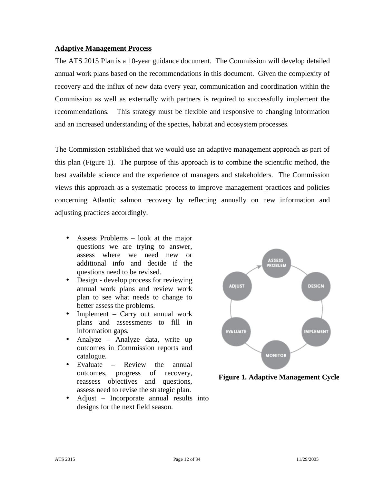#### **Adaptive Management Process**

The ATS 2015 Plan is a 10-year guidance document. The Commission will develop detailed annual work plans based on the recommendations in this document. Given the complexity of recovery and the influx of new data every year, communication and coordination within the Commission as well as externally with partners is required to successfully implement the recommendations. This strategy must be flexible and responsive to changing information and an increased understanding of the species, habitat and ecosystem processes.

The Commission established that we would use an adaptive management approach as part of this plan (Figure 1). The purpose of this approach is to combine the scientific method, the best available science and the experience of managers and stakeholders. The Commission views this approach as a systematic process to improve management practices and policies concerning Atlantic salmon recovery by reflecting annually on new information and adjusting practices accordingly.

- Assess Problems look at the major questions we are trying to answer, assess where we need new or additional info and decide if the questions need to be revised.
- Design develop process for reviewing annual work plans and review work plan to see what needs to change to better assess the problems.
- Implement Carry out annual work plans and assessments to fill in information gaps.
- Analyze Analyze data, write up outcomes in Commission reports and catalogue.
- Evaluate Review the annual outcomes, progress of recovery, reassess objectives and questions, assess need to revise the strategic plan.
- Adjust Incorporate annual results into designs for the next field season.



**Figure 1. Adaptive Management Cycle**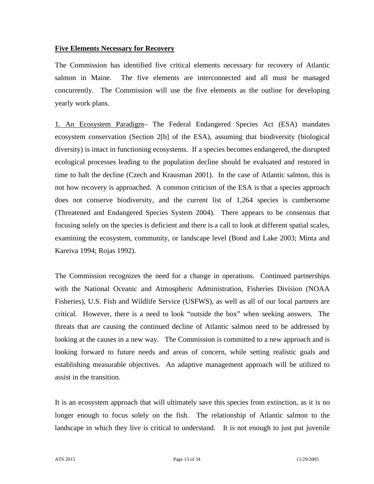## **Five Elements Necessary for Recovery**

The Commission has identified five critical elements necessary for recovery of Atlantic salmon in Maine. The five elements are interconnected and all must be managed concurrently. The Commission will use the five elements as the outline for developing yearly work plans.

1. An Ecosystem Paradigm– The Federal Endangered Species Act (ESA) mandates ecosystem conservation (Section 2[b] of the ESA), assuming that biodiversity (biological diversity) is intact in functioning ecosystems. If a species becomes endangered, the disrupted ecological processes leading to the population decline should be evaluated and restored in time to halt the decline (Czech and Krausman 2001). In the case of Atlantic salmon, this is not how recovery is approached. A common criticism of the ESA is that a species approach does not conserve biodiversity, and the current list of 1,264 species is cumbersome (Threatened and Endangered Species System 2004). There appears to be consensus that focusing solely on the species is deficient and there is a call to look at different spatial scales, examining the ecosystem, community, or landscape level (Bond and Lake 2003; Minta and Kareiva 1994; Rojas 1992).

The Commission recognizes the need for a change in operations. Continued partnerships with the National Oceanic and Atmospheric Administration, Fisheries Division (NOAA Fisheries), U.S. Fish and Wildlife Service (USFWS), as well as all of our local partners are critical. However, there is a need to look "outside the box" when seeking answers. The threats that are causing the continued decline of Atlantic salmon need to be addressed by looking at the causes in a new way. The Commission is committed to a new approach and is looking forward to future needs and areas of concern, while setting realistic goals and establishing measurable objectives. An adaptive management approach will be utilized to assist in the transition.

It is an ecosystem approach that will ultimately save this species from extinction, as it is no longer enough to focus solely on the fish. The relationship of Atlantic salmon to the landscape in which they live is critical to understand. It is not enough to just put juvenile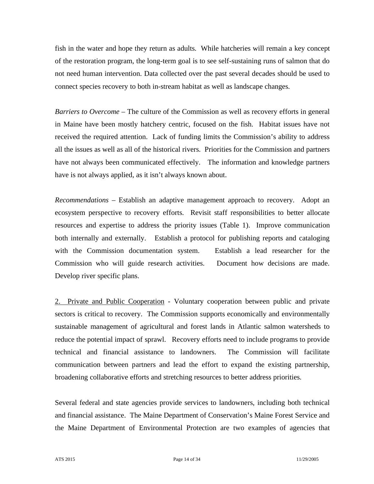fish in the water and hope they return as adults. While hatcheries will remain a key concept of the restoration program, the long-term goal is to see self-sustaining runs of salmon that do not need human intervention. Data collected over the past several decades should be used to connect species recovery to both in-stream habitat as well as landscape changes.

*Barriers to Overcome –* The culture of the Commission as well as recovery efforts in general in Maine have been mostly hatchery centric, focused on the fish. Habitat issues have not received the required attention. Lack of funding limits the Commission's ability to address all the issues as well as all of the historical rivers. Priorities for the Commission and partners have not always been communicated effectively. The information and knowledge partners have is not always applied, as it isn't always known about.

*Recommendations* – Establish an adaptive management approach to recovery. Adopt an ecosystem perspective to recovery efforts. Revisit staff responsibilities to better allocate resources and expertise to address the priority issues (Table 1). Improve communication both internally and externally. Establish a protocol for publishing reports and cataloging with the Commission documentation system. Establish a lead researcher for the Commission who will guide research activities. Document how decisions are made. Develop river specific plans.

2. Private and Public Cooperation - Voluntary cooperation between public and private sectors is critical to recovery. The Commission supports economically and environmentally sustainable management of agricultural and forest lands in Atlantic salmon watersheds to reduce the potential impact of sprawl. Recovery efforts need to include programs to provide technical and financial assistance to landowners. The Commission will facilitate communication between partners and lead the effort to expand the existing partnership, broadening collaborative efforts and stretching resources to better address priorities.

Several federal and state agencies provide services to landowners, including both technical and financial assistance. The Maine Department of Conservation's Maine Forest Service and the Maine Department of Environmental Protection are two examples of agencies that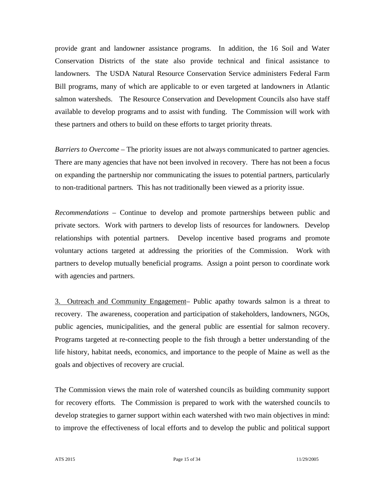provide grant and landowner assistance programs. In addition, the 16 Soil and Water Conservation Districts of the state also provide technical and finical assistance to landowners. The USDA Natural Resource Conservation Service administers Federal Farm Bill programs, many of which are applicable to or even targeted at landowners in Atlantic salmon watersheds. The Resource Conservation and Development Councils also have staff available to develop programs and to assist with funding. The Commission will work with these partners and others to build on these efforts to target priority threats.

*Barriers to Overcome* – The priority issues are not always communicated to partner agencies. There are many agencies that have not been involved in recovery. There has not been a focus on expanding the partnership nor communicating the issues to potential partners, particularly to non-traditional partners. This has not traditionally been viewed as a priority issue.

*Recommendations* – Continue to develop and promote partnerships between public and private sectors. Work with partners to develop lists of resources for landowners. Develop relationships with potential partners. Develop incentive based programs and promote voluntary actions targeted at addressing the priorities of the Commission. Work with partners to develop mutually beneficial programs. Assign a point person to coordinate work with agencies and partners.

3. Outreach and Community Engagement– Public apathy towards salmon is a threat to recovery. The awareness, cooperation and participation of stakeholders, landowners, NGOs, public agencies, municipalities, and the general public are essential for salmon recovery. Programs targeted at re-connecting people to the fish through a better understanding of the life history, habitat needs, economics, and importance to the people of Maine as well as the goals and objectives of recovery are crucial.

The Commission views the main role of watershed councils as building community support for recovery efforts. The Commission is prepared to work with the watershed councils to develop strategies to garner support within each watershed with two main objectives in mind: to improve the effectiveness of local efforts and to develop the public and political support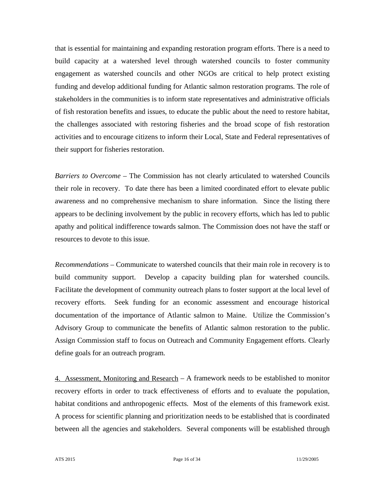that is essential for maintaining and expanding restoration program efforts. There is a need to build capacity at a watershed level through watershed councils to foster community engagement as watershed councils and other NGOs are critical to help protect existing funding and develop additional funding for Atlantic salmon restoration programs. The role of stakeholders in the communities is to inform state representatives and administrative officials of fish restoration benefits and issues, to educate the public about the need to restore habitat, the challenges associated with restoring fisheries and the broad scope of fish restoration activities and to encourage citizens to inform their Local, State and Federal representatives of their support for fisheries restoration.

*Barriers to Overcome –* The Commission has not clearly articulated to watershed Councils their role in recovery. To date there has been a limited coordinated effort to elevate public awareness and no comprehensive mechanism to share information. Since the listing there appears to be declining involvement by the public in recovery efforts, which has led to public apathy and political indifference towards salmon. The Commission does not have the staff or resources to devote to this issue.

*Recommendations* – Communicate to watershed councils that their main role in recovery is to build community support. Develop a capacity building plan for watershed councils. Facilitate the development of community outreach plans to foster support at the local level of recovery efforts. Seek funding for an economic assessment and encourage historical documentation of the importance of Atlantic salmon to Maine. Utilize the Commission's Advisory Group to communicate the benefits of Atlantic salmon restoration to the public. Assign Commission staff to focus on Outreach and Community Engagement efforts. Clearly define goals for an outreach program.

4. Assessment, Monitoring and Research – A framework needs to be established to monitor recovery efforts in order to track effectiveness of efforts and to evaluate the population, habitat conditions and anthropogenic effects. Most of the elements of this framework exist. A process for scientific planning and prioritization needs to be established that is coordinated between all the agencies and stakeholders. Several components will be established through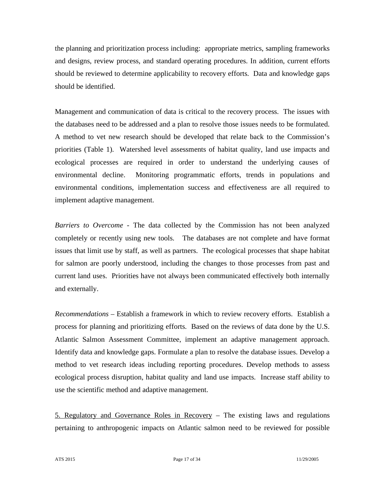the planning and prioritization process including: appropriate metrics, sampling frameworks and designs, review process, and standard operating procedures. In addition, current efforts should be reviewed to determine applicability to recovery efforts. Data and knowledge gaps should be identified.

Management and communication of data is critical to the recovery process. The issues with the databases need to be addressed and a plan to resolve those issues needs to be formulated. A method to vet new research should be developed that relate back to the Commission's priorities (Table 1). Watershed level assessments of habitat quality, land use impacts and ecological processes are required in order to understand the underlying causes of environmental decline. Monitoring programmatic efforts, trends in populations and environmental conditions, implementation success and effectiveness are all required to implement adaptive management.

*Barriers to Overcome* - The data collected by the Commission has not been analyzed completely or recently using new tools. The databases are not complete and have format issues that limit use by staff, as well as partners. The ecological processes that shape habitat for salmon are poorly understood, including the changes to those processes from past and current land uses. Priorities have not always been communicated effectively both internally and externally.

*Recommendations* – Establish a framework in which to review recovery efforts. Establish a process for planning and prioritizing efforts. Based on the reviews of data done by the U.S. Atlantic Salmon Assessment Committee, implement an adaptive management approach. Identify data and knowledge gaps. Formulate a plan to resolve the database issues. Develop a method to vet research ideas including reporting procedures. Develop methods to assess ecological process disruption, habitat quality and land use impacts. Increase staff ability to use the scientific method and adaptive management.

5. Regulatory and Governance Roles in Recovery – The existing laws and regulations pertaining to anthropogenic impacts on Atlantic salmon need to be reviewed for possible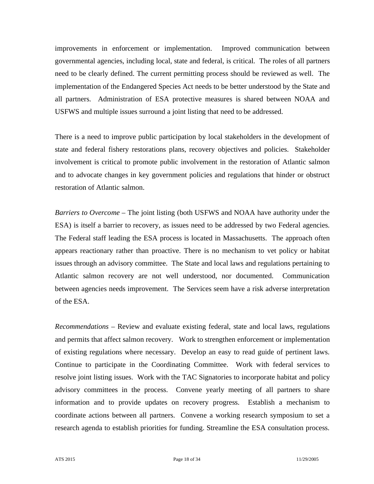improvements in enforcement or implementation. Improved communication between governmental agencies, including local, state and federal, is critical. The roles of all partners need to be clearly defined. The current permitting process should be reviewed as well. The implementation of the Endangered Species Act needs to be better understood by the State and all partners. Administration of ESA protective measures is shared between NOAA and USFWS and multiple issues surround a joint listing that need to be addressed.

There is a need to improve public participation by local stakeholders in the development of state and federal fishery restorations plans, recovery objectives and policies. Stakeholder involvement is critical to promote public involvement in the restoration of Atlantic salmon and to advocate changes in key government policies and regulations that hinder or obstruct restoration of Atlantic salmon.

*Barriers to Overcome –* The joint listing (both USFWS and NOAA have authority under the ESA) is itself a barrier to recovery, as issues need to be addressed by two Federal agencies. The Federal staff leading the ESA process is located in Massachusetts. The approach often appears reactionary rather than proactive. There is no mechanism to vet policy or habitat issues through an advisory committee. The State and local laws and regulations pertaining to Atlantic salmon recovery are not well understood, nor documented. Communication between agencies needs improvement. The Services seem have a risk adverse interpretation of the ESA.

*Recommendations* – Review and evaluate existing federal, state and local laws, regulations and permits that affect salmon recovery. Work to strengthen enforcement or implementation of existing regulations where necessary. Develop an easy to read guide of pertinent laws. Continue to participate in the Coordinating Committee. Work with federal services to resolve joint listing issues. Work with the TAC Signatories to incorporate habitat and policy advisory committees in the process. Convene yearly meeting of all partners to share information and to provide updates on recovery progress. Establish a mechanism to coordinate actions between all partners. Convene a working research symposium to set a research agenda to establish priorities for funding. Streamline the ESA consultation process.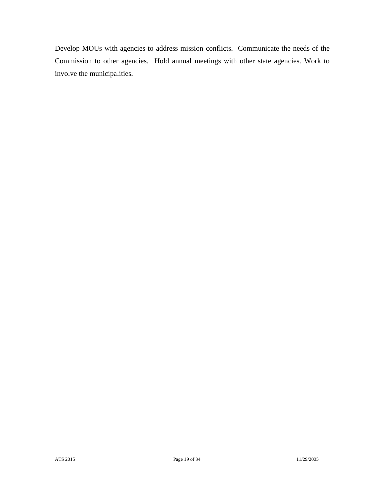Develop MOUs with agencies to address mission conflicts. Communicate the needs of the Commission to other agencies. Hold annual meetings with other state agencies. Work to involve the municipalities.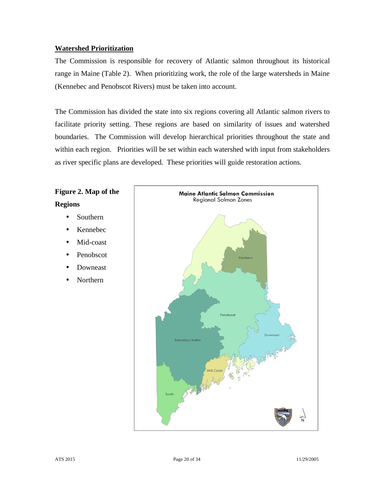## **Watershed Prioritization**

The Commission is responsible for recovery of Atlantic salmon throughout its historical range in Maine (Table 2). When prioritizing work, the role of the large watersheds in Maine (Kennebec and Penobscot Rivers) must be taken into account.

The Commission has divided the state into six regions covering all Atlantic salmon rivers to facilitate priority setting. These regions are based on similarity of issues and watershed boundaries. The Commission will develop hierarchical priorities throughout the state and within each region. Priorities will be set within each watershed with input from stakeholders as river specific plans are developed. These priorities will guide restoration actions.

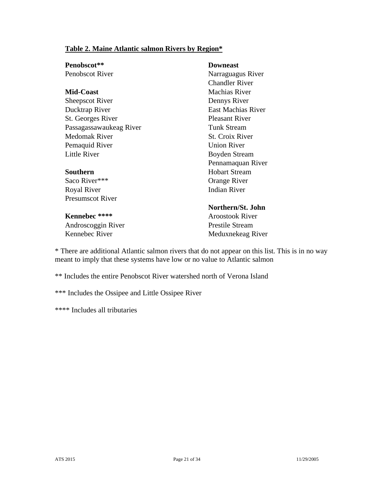# **Table 2. Maine Atlantic salmon Rivers by Region\***

| Penobscot**             | <b>Downeast</b>           |  |  |
|-------------------------|---------------------------|--|--|
| Penobscot River         | Narraguagus River         |  |  |
|                         | <b>Chandler River</b>     |  |  |
| <b>Mid-Coast</b>        | <b>Machias River</b>      |  |  |
| <b>Sheepscot River</b>  | Dennys River              |  |  |
| Ducktrap River          | <b>East Machias River</b> |  |  |
| St. Georges River       | <b>Pleasant River</b>     |  |  |
| Passagassawaukeag River | <b>Tunk Stream</b>        |  |  |
| Medomak River           | St. Croix River           |  |  |
| Pemaquid River          | <b>Union River</b>        |  |  |
| <b>Little River</b>     | <b>Boyden Stream</b>      |  |  |
|                         | Pennamaquan River         |  |  |
| Southern                | <b>Hobart Stream</b>      |  |  |
| Saco River***           | Orange River              |  |  |
| Royal River             | <b>Indian River</b>       |  |  |
| <b>Presumscot River</b> |                           |  |  |
|                         | Northern/St. John         |  |  |
| Kennebec ****           | <b>Aroostook River</b>    |  |  |
| Androscoggin River      | <b>Prestile Stream</b>    |  |  |
| Kennebec River          | Meduxnekeag River         |  |  |

\* There are additional Atlantic salmon rivers that do not appear on this list. This is in no way meant to imply that these systems have low or no value to Atlantic salmon

\*\* Includes the entire Penobscot River watershed north of Verona Island

\*\*\* Includes the Ossipee and Little Ossipee River

\*\*\*\* Includes all tributaries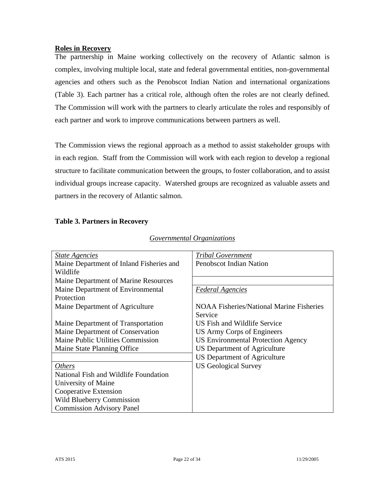#### **Roles in Recovery**

The partnership in Maine working collectively on the recovery of Atlantic salmon is complex, involving multiple local, state and federal governmental entities, non-governmental agencies and others such as the Penobscot Indian Nation and international organizations (Table 3). Each partner has a critical role, although often the roles are not clearly defined. The Commission will work with the partners to clearly articulate the roles and responsibly of each partner and work to improve communications between partners as well.

The Commission views the regional approach as a method to assist stakeholder groups with in each region. Staff from the Commission will work with each region to develop a regional structure to facilitate communication between the groups, to foster collaboration, and to assist individual groups increase capacity. Watershed groups are recognized as valuable assets and partners in the recovery of Atlantic salmon.

## **Table 3. Partners in Recovery**

| <b>State Agencies</b>                    | <b>Tribal Government</b>                        |  |  |  |
|------------------------------------------|-------------------------------------------------|--|--|--|
| Maine Department of Inland Fisheries and | <b>Penobscot Indian Nation</b>                  |  |  |  |
| Wildlife                                 |                                                 |  |  |  |
| Maine Department of Marine Resources     |                                                 |  |  |  |
| Maine Department of Environmental        | <b>Federal Agencies</b>                         |  |  |  |
| Protection                               |                                                 |  |  |  |
| Maine Department of Agriculture          | <b>NOAA Fisheries/National Marine Fisheries</b> |  |  |  |
|                                          | Service                                         |  |  |  |
| Maine Department of Transportation       | US Fish and Wildlife Service                    |  |  |  |
| Maine Department of Conservation         | US Army Corps of Engineers                      |  |  |  |
| Maine Public Utilities Commission        | <b>US Environmental Protection Agency</b>       |  |  |  |
| Maine State Planning Office              | <b>US Department of Agriculture</b>             |  |  |  |
|                                          | <b>US Department of Agriculture</b>             |  |  |  |
| <i>Others</i>                            | <b>US Geological Survey</b>                     |  |  |  |
| National Fish and Wildlife Foundation    |                                                 |  |  |  |
| University of Maine                      |                                                 |  |  |  |
| Cooperative Extension                    |                                                 |  |  |  |
| <b>Wild Blueberry Commission</b>         |                                                 |  |  |  |
| <b>Commission Advisory Panel</b>         |                                                 |  |  |  |
|                                          |                                                 |  |  |  |

# *Governmental Organizations*